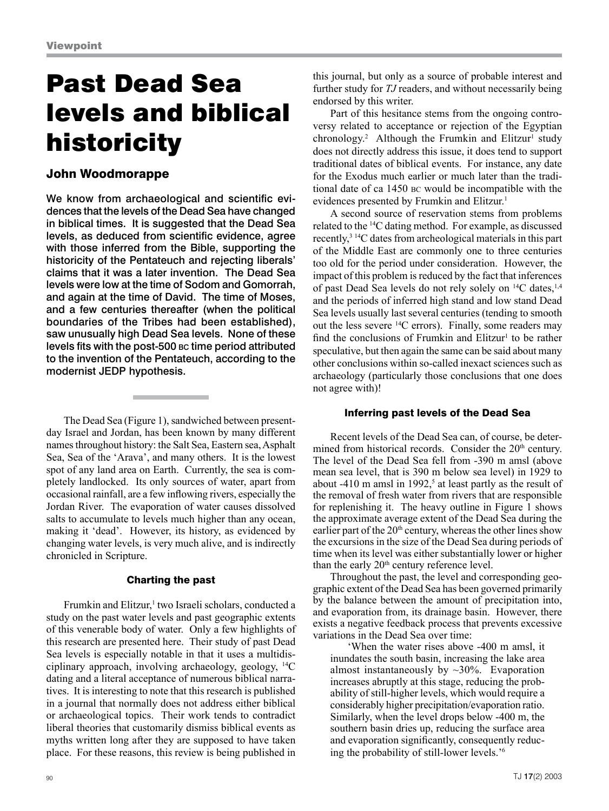# Past Dead Sea levels and biblical historicity

## John Woodmorappe

We know from archaeological and scientific evidences that the levels of the Dead Sea have changed in biblical times. It is suggested that the Dead Sea levels, as deduced from scientific evidence, agree with those inferred from the Bible, supporting the historicity of the Pentateuch and rejecting liberals' claims that it was a later invention. The Dead Sea levels were low at the time of Sodom and Gomorrah, and again at the time of David. The time of Moses, and a few centuries thereafter (when the political boundaries of the Tribes had been established), saw unusually high Dead Sea levels. None of these levels fits with the post-500 bc time period attributed to the invention of the Pentateuch, according to the modernist JEDP hypothesis.

The Dead Sea (Figure 1), sandwiched between presentday Israel and Jordan, has been known by many different names throughout history: the Salt Sea, Eastern sea, Asphalt Sea, Sea of the 'Arava', and many others. It is the lowest spot of any land area on Earth. Currently, the sea is completely landlocked. Its only sources of water, apart from occasional rainfall, are a few inflowing rivers, especially the Jordan River. The evaporation of water causes dissolved salts to accumulate to levels much higher than any ocean, making it 'dead'. However, its history, as evidenced by changing water levels, is very much alive, and is indirectly chronicled in Scripture.

## Charting the past

Frumkin and Elitzur,<sup>1</sup> two Israeli scholars, conducted a study on the past water levels and past geographic extents of this venerable body of water. Only a few highlights of this research are presented here. Their study of past Dead Sea levels is especially notable in that it uses a multidisciplinary approach, involving archaeology, geology, 14C dating and a literal acceptance of numerous biblical narratives. It is interesting to note that this research is published in a journal that normally does not address either biblical or archaeological topics. Their work tends to contradict liberal theories that customarily dismiss biblical events as myths written long after they are supposed to have taken place. For these reasons, this review is being published in

this journal, but only as a source of probable interest and further study for *TJ* readers, and without necessarily being endorsed by this writer.

Part of this hesitance stems from the ongoing controversy related to acceptance or rejection of the Egyptian  $chronology.<sup>2</sup>$  Although the Frumkin and Elitzur<sup>1</sup> study does not directly address this issue, it does tend to support traditional dates of biblical events. For instance, any date for the Exodus much earlier or much later than the traditional date of ca 1450 bc would be incompatible with the evidences presented by Frumkin and Elitzur.<sup>1</sup>

A second source of reservation stems from problems related to the 14C dating method. For example, as discussed recently,3 14C dates from archeological materials in this part of the Middle East are commonly one to three centuries too old for the period under consideration. However, the impact of this problem is reduced by the fact that inferences of past Dead Sea levels do not rely solely on <sup>14</sup>C dates, <sup>1,4</sup> and the periods of inferred high stand and low stand Dead Sea levels usually last several centuries (tending to smooth out the less severe 14C errors). Finally, some readers may find the conclusions of Frumkin and  $E$ litzur<sup>1</sup> to be rather speculative, but then again the same can be said about many other conclusions within so-called inexact sciences such as archaeology (particularly those conclusions that one does not agree with)!

## Inferring past levels of the Dead Sea

Recent levels of the Dead Sea can, of course, be determined from historical records. Consider the 20<sup>th</sup> century. The level of the Dead Sea fell from -390 m amsl (above mean sea level, that is 390 m below sea level) in 1929 to about  $-410$  m amsl in 1992,<sup>5</sup> at least partly as the result of the removal of fresh water from rivers that are responsible for replenishing it. The heavy outline in Figure 1 shows the approximate average extent of the Dead Sea during the earlier part of the 20<sup>th</sup> century, whereas the other lines show the excursions in the size of the Dead Sea during periods of time when its level was either substantially lower or higher than the early  $20<sup>th</sup>$  century reference level.

Throughout the past, the level and corresponding geographic extent of the Dead Sea has been governed primarily by the balance between the amount of precipitation into, and evaporation from, its drainage basin. However, there exists a negative feedback process that prevents excessive variations in the Dead Sea over time:

'When the water rises above -400 m amsl, it inundates the south basin, increasing the lake area almost instantaneously by  $\sim$ 30%. Evaporation increases abruptly at this stage, reducing the probability of still-higher levels, which would require a considerably higher precipitation/evaporation ratio. Similarly, when the level drops below -400 m, the southern basin dries up, reducing the surface area and evaporation significantly, consequently reducing the probability of still-lower levels.'6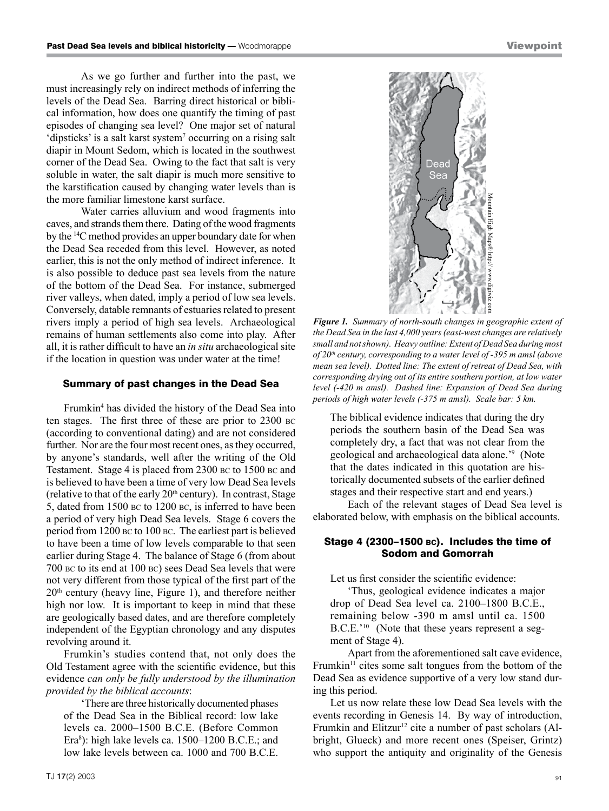As we go further and further into the past, we must increasingly rely on indirect methods of inferring the levels of the Dead Sea. Barring direct historical or biblical information, how does one quantify the timing of past episodes of changing sea level? One major set of natural 'dipsticks' is a salt karst system<sup>7</sup> occurring on a rising salt diapir in Mount Sedom, which is located in the southwest corner of the Dead Sea. Owing to the fact that salt is very soluble in water, the salt diapir is much more sensitive to the karstification caused by changing water levels than is the more familiar limestone karst surface.

Water carries alluvium and wood fragments into caves, and strands them there. Dating of the wood fragments by the 14C method provides an upper boundary date for when the Dead Sea receded from this level. However, as noted earlier, this is not the only method of indirect inference. It is also possible to deduce past sea levels from the nature of the bottom of the Dead Sea. For instance, submerged river valleys, when dated, imply a period of low sea levels. Conversely, datable remnants of estuaries related to present rivers imply a period of high sea levels. Archaeological remains of human settlements also come into play. After all, it is rather difficult to have an *in situ* archaeological site if the location in question was under water at the time!

#### Summary of past changes in the Dead Sea

Frumkin<sup>4</sup> has divided the history of the Dead Sea into ten stages. The first three of these are prior to 2300 bc (according to conventional dating) and are not considered further. Nor are the four most recent ones, as they occurred, by anyone's standards, well after the writing of the Old Testament. Stage 4 is placed from 2300 bc to 1500 bc and is believed to have been a time of very low Dead Sea levels (relative to that of the early  $20<sup>th</sup>$  century). In contrast, Stage 5, dated from 1500 bc to 1200 bc, is inferred to have been a period of very high Dead Sea levels. Stage 6 covers the period from 1200 bc to 100 bc. The earliest part is believed to have been a time of low levels comparable to that seen earlier during Stage 4. The balance of Stage 6 (from about 700 bc to its end at 100 bc) sees Dead Sea levels that were not very different from those typical of the first part of the  $20<sup>th</sup>$  century (heavy line, Figure 1), and therefore neither high nor low. It is important to keep in mind that these are geologically based dates, and are therefore completely independent of the Egyptian chronology and any disputes revolving around it.

Frumkin's studies contend that, not only does the Old Testament agree with the scientific evidence, but this evidence *can only be fully understood by the illumination provided by the biblical accounts*:

'There are three historically documented phases of the Dead Sea in the Biblical record: low lake levels ca. 2000–1500 B.C.E. (Before Common Era<sup>8</sup>): high lake levels ca. 1500–1200 B.C.E.; and low lake levels between ca. 1000 and 700 B.C.E.



*Figure 1. Summary of north-south changes in geographic extent of the Dead Sea in the last 4,000 years (east-west changes are relatively small and not shown). Heavy outline: Extent of Dead Sea during most of 20th century, corresponding to a water level of -395 m amsl (above mean sea level). Dotted line: The extent of retreat of Dead Sea, with corresponding drying out of its entire southern portion, at low water level (-420 m amsl). Dashed line: Expansion of Dead Sea during*  **periods of high water levels (-375 m amsl). Scale bar: 5 km. periods of high water levels (-375 m amsl). Scale bar: 5 km.**  $\frac{1}{2}$ 

The biblical evidence indicates that during the dry periods the southern basin of the Dead Sea was completely dry, a fact that was not clear from the geological and archaeological data alone.'9 (Note that the dates indicated in this quotation are historically documented subsets of the earlier defined stages and their respective start and end years.)

Each of the relevant stages of Dead Sea level is elaborated below, with emphasis on the biblical accounts.

## Stage 4 (2300–1500 bc). Includes the time of Sodom and Gomorrah

Let us first consider the scientific evidence:

'Thus, geological evidence indicates a major drop of Dead Sea level ca. 2100–1800 B.C.E., remaining below -390 m amsl until ca. 1500 B.C.E.'10 (Note that these years represent a segment of Stage 4).

Apart from the aforementioned salt cave evidence, Frumkin $11$  cites some salt tongues from the bottom of the Dead Sea as evidence supportive of a very low stand during this period.

Let us now relate these low Dead Sea levels with the events recording in Genesis 14. By way of introduction, Frumkin and Elitzur<sup>12</sup> cite a number of past scholars (Albright, Glueck) and more recent ones (Speiser, Grintz) who support the antiquity and originality of the Genesis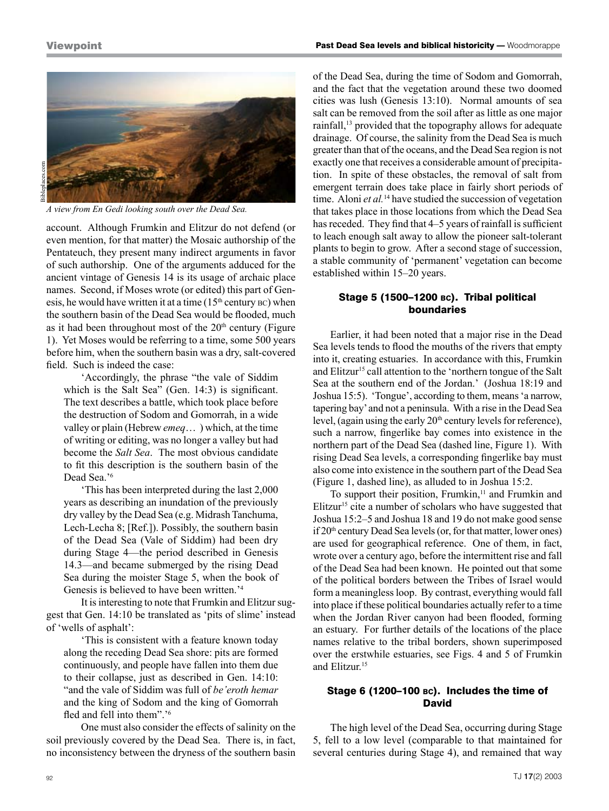## **Viewpoint**



 $\overline{A}$  view from En Gedi looking south over the Dead Sea.

account. Although Frumkin and Elitzur do not defend (or even mention, for that matter) the Mosaic authorship of the Pentateuch, they present many indirect arguments in favor of such authorship. One of the arguments adduced for the ancient vintage of Genesis 14 is its usage of archaic place names. Second, if Moses wrote (or edited) this part of Genesis, he would have written it at a time  $(15<sup>th</sup>$  century  $BC)$  when the southern basin of the Dead Sea would be flooded, much as it had been throughout most of the  $20<sup>th</sup>$  century (Figure 1). Yet Moses would be referring to a time, some 500 years before him, when the southern basin was a dry, salt-covered field. Such is indeed the case:

'Accordingly, the phrase "the vale of Siddim which is the Salt Sea" (Gen. 14:3) is significant. The text describes a battle, which took place before the destruction of Sodom and Gomorrah, in a wide valley or plain (Hebrew *emeq*… ) which, at the time of writing or editing, was no longer a valley but had become the *Salt Sea*. The most obvious candidate to fit this description is the southern basin of the Dead Sea.'6

'This has been interpreted during the last 2,000 years as describing an inundation of the previously dry valley by the Dead Sea (e.g. Midrash Tanchuma, Lech-Lecha 8; [Ref.]). Possibly, the southern basin of the Dead Sea (Vale of Siddim) had been dry during Stage 4—the period described in Genesis 14.3—and became submerged by the rising Dead Sea during the moister Stage 5, when the book of Genesis is believed to have been written.'4

It is interesting to note that Frumkin and Elitzur suggest that Gen. 14:10 be translated as 'pits of slime' instead of 'wells of asphalt':

'This is consistent with a feature known today along the receding Dead Sea shore: pits are formed continuously, and people have fallen into them due to their collapse, just as described in Gen. 14:10: "and the vale of Siddim was full of *be'eroth hemar* and the king of Sodom and the king of Gomorrah fled and fell into them".'<sup>6</sup>

One must also consider the effects of salinity on the soil previously covered by the Dead Sea. There is, in fact, no inconsistency between the dryness of the southern basin of the Dead Sea, during the time of Sodom and Gomorrah, and the fact that the vegetation around these two doomed cities was lush (Genesis 13:10). Normal amounts of sea salt can be removed from the soil after as little as one major rainfall,13 provided that the topography allows for adequate drainage. Of course, the salinity from the Dead Sea is much greater than that of the oceans, and the Dead Sea region is not exactly one that receives a considerable amount of precipitation. In spite of these obstacles, the removal of salt from emergent terrain does take place in fairly short periods of time. Aloni *et al.*<sup>14</sup> have studied the succession of vegetation that takes place in those locations from which the Dead Sea has receded. They find that 4–5 years of rainfall is sufficient to leach enough salt away to allow the pioneer salt-tolerant plants to begin to grow. After a second stage of succession, a stable community of 'permanent' vegetation can become established within 15–20 years.

## Stage 5 (1500–1200 bc). Tribal political boundaries

Earlier, it had been noted that a major rise in the Dead Sea levels tends to flood the mouths of the rivers that empty into it, creating estuaries. In accordance with this, Frumkin and Elitzur<sup>15</sup> call attention to the 'northern tongue of the Salt Sea at the southern end of the Jordan.' (Joshua 18:19 and Joshua 15:5). 'Tongue', according to them, means 'a narrow, tapering bay' and not a peninsula. With a rise in the Dead Sea level, (again using the early  $20<sup>th</sup>$  century levels for reference), such a narrow, fingerlike bay comes into existence in the northern part of the Dead Sea (dashed line, Figure 1). With rising Dead Sea levels, a corresponding fingerlike bay must also come into existence in the southern part of the Dead Sea (Figure 1, dashed line), as alluded to in Joshua 15:2.

To support their position, Frumkin,<sup>11</sup> and Frumkin and Elitzur<sup>15</sup> cite a number of scholars who have suggested that Joshua 15:2–5 and Joshua 18 and 19 do not make good sense if 20th century Dead Sea levels (or, for that matter, lower ones) are used for geographical reference. One of them, in fact, wrote over a century ago, before the intermittent rise and fall of the Dead Sea had been known. He pointed out that some of the political borders between the Tribes of Israel would form a meaningless loop. By contrast, everything would fall into place if these political boundaries actually refer to a time when the Jordan River canyon had been flooded, forming an estuary. For further details of the locations of the place names relative to the tribal borders, shown superimposed over the erstwhile estuaries, see Figs. 4 and 5 of Frumkin and Elitzur.15

## Stage 6 (1200–100 bc). Includes the time of David

The high level of the Dead Sea, occurring during Stage 5, fell to a low level (comparable to that maintained for several centuries during Stage 4), and remained that way